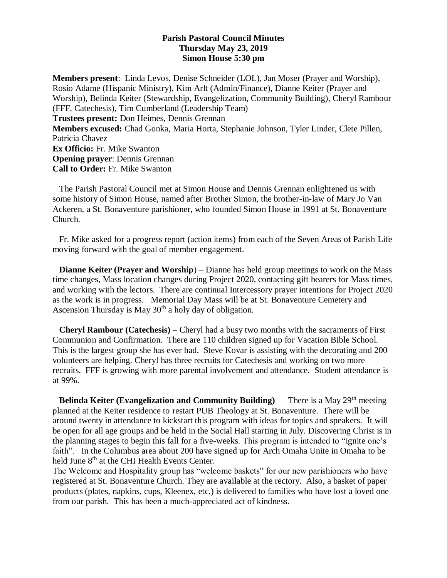## **Parish Pastoral Council Minutes Thursday May 23, 2019 Simon House 5:30 pm**

**Members present**: Linda Levos, Denise Schneider (LOL), Jan Moser (Prayer and Worship), Rosio Adame (Hispanic Ministry), Kim Arlt (Admin/Finance), Dianne Keiter (Prayer and Worship), Belinda Keiter (Stewardship, Evangelization, Community Building), Cheryl Rambour (FFF, Catechesis), Tim Cumberland (Leadership Team) **Trustees present:** Don Heimes, Dennis Grennan **Members excused:** Chad Gonka, Maria Horta, Stephanie Johnson, Tyler Linder, Clete Pillen, Patricia Chavez **Ex Officio:** Fr. Mike Swanton **Opening prayer**: Dennis Grennan **Call to Order:** Fr. Mike Swanton

 The Parish Pastoral Council met at Simon House and Dennis Grennan enlightened us with some history of Simon House, named after Brother Simon, the brother-in-law of Mary Jo Van Ackeren, a St. Bonaventure parishioner, who founded Simon House in 1991 at St. Bonaventure Church.

 Fr. Mike asked for a progress report (action items) from each of the Seven Areas of Parish Life moving forward with the goal of member engagement.

 **Dianne Keiter (Prayer and Worship**) – Dianne has held group meetings to work on the Mass time changes, Mass location changes during Project 2020, contacting gift bearers for Mass times, and working with the lectors. There are continual Intercessory prayer intentions for Project 2020 as the work is in progress. Memorial Day Mass will be at St. Bonaventure Cemetery and Ascension Thursday is May  $30<sup>th</sup>$  a holy day of obligation.

 **Cheryl Rambour (Catechesis)** – Cheryl had a busy two months with the sacraments of First Communion and Confirmation. There are 110 children signed up for Vacation Bible School. This is the largest group she has ever had. Steve Kovar is assisting with the decorating and 200 volunteers are helping. Cheryl has three recruits for Catechesis and working on two more recruits. FFF is growing with more parental involvement and attendance. Student attendance is at 99%.

 **Belinda Keiter (Evangelization and Community Building)** – There is a May 29<sup>th</sup> meeting planned at the Keiter residence to restart PUB Theology at St. Bonaventure. There will be around twenty in attendance to kickstart this program with ideas for topics and speakers. It will be open for all age groups and be held in the Social Hall starting in July. Discovering Christ is in the planning stages to begin this fall for a five-weeks. This program is intended to "ignite one's faith". In the Columbus area about 200 have signed up for Arch Omaha Unite in Omaha to be held June  $8<sup>th</sup>$  at the CHI Health Events Center.

The Welcome and Hospitality group has "welcome baskets" for our new parishioners who have registered at St. Bonaventure Church. They are available at the rectory. Also, a basket of paper products (plates, napkins, cups, Kleenex, etc.) is delivered to families who have lost a loved one from our parish. This has been a much-appreciated act of kindness.